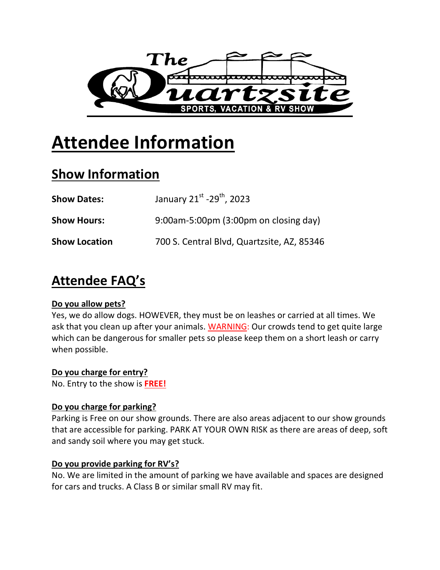

# **Attendee Information**

# **Show Information**

| <b>Show Dates:</b>   | January 21st -29 <sup>th</sup> , 2023      |
|----------------------|--------------------------------------------|
| <b>Show Hours:</b>   | 9:00am-5:00pm (3:00pm on closing day)      |
| <b>Show Location</b> | 700 S. Central Blvd, Quartzsite, AZ, 85346 |

# **Attendee FAQ's**

### **Do you allow pets?**

Yes, we do allow dogs. HOWEVER, they must be on leashes or carried at all times. We ask that you clean up after your animals. WARNING: Our crowds tend to get quite large which can be dangerous for smaller pets so please keep them on a short leash or carry when possible.

## **Do you charge for entry?**

No. Entry to the show is **FREE!**

### **Do you charge for parking?**

Parking is Free on our show grounds. There are also areas adjacent to our show grounds that are accessible for parking. PARK AT YOUR OWN RISK as there are areas of deep, soft and sandy soil where you may get stuck.

### **Do you provide parking for RV's?**

No. We are limited in the amount of parking we have available and spaces are designed for cars and trucks. A Class B or similar small RV may fit.